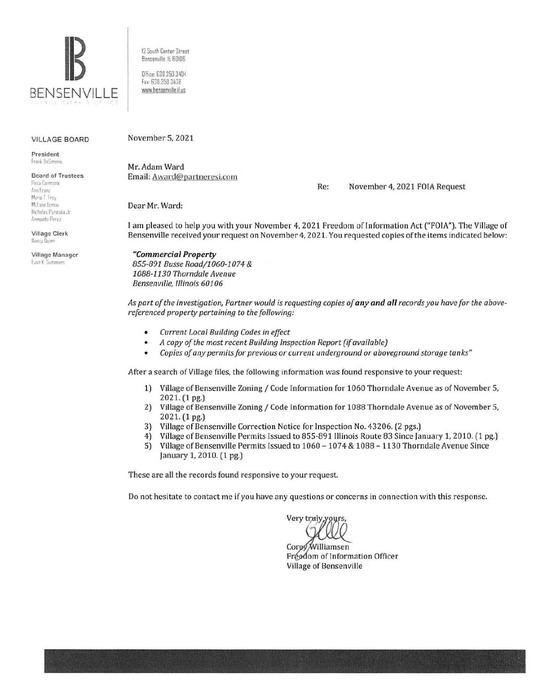

12 South Center Street Bensenville IL 60106

Office: 630.350.3404 Fax: 630 350 3438 www.bensenville.il.us

#### **VILLAGE BOARD**

President Frank DeSimone

**Board of Trustees** Rasa Carmona Ann Franz Marie I frey McLane Lemax

Nicholas Panicola Jr Armando Perez

Village Clerk Nancy Dum

Village Manager Evan K Summers

November 5, 2021

Mr. Adam Ward Email: Award@partneresi.com

Re: November 4, 2021 FOIA Request

Dear Mr. Ward:

I am pleased to help you with your November 4, 2021 Freedom of Information Act ("FOIA"). The Village of Bensenville received your request on November 4, 2021. You requested copies of the items indicated below:

#### "Commercial Property

855-891 Busse Road/1060-1074 & 1088-1130 Thorndale Avenue Bensenville, Illinois 60106

As part of the investigation, Partner would is requesting copies of any and all records you have for the abovereferenced property pertaining to the following:

- Current Local Building Codes in effect  $\bullet$
- A copy of the most recent Building Inspection Report (if available)  $\bullet$
- Copies of any permits for previous or current underground or aboveground storage tanks"  $\bullet$

After a search of Village files, the following information was found responsive to your request:

- 1) Village of Bensenville Zoning / Code Information for 1060 Thorndale Avenue as of November 5, 2021. (1 pg.)
- $2)$ Village of Bensenville Zoning / Code Information for 1088 Thorndale Avenue as of November 5, 2021. (1 pg.)
- 3) Village of Bensenville Correction Notice for Inspection No. 43206. (2 pgs.)
- Village of Bensenville Permits Issued to 855-891 Illinois Route 83 Since January 1, 2010. (1 pg.)  $4)$
- $5)$ Village of Bensenville Permits Issued to 1060 - 1074 & 1088 - 1130 Thorndale Avenue Since January 1, 2010. (1 pg.)

These are all the records found responsive to your request.

Do not hesitate to contact me if you have any questions or concerns in connection with this response.

Very truly

Williamsen Core $\sigma$ Fréedom of Information Officer Village of Bensenville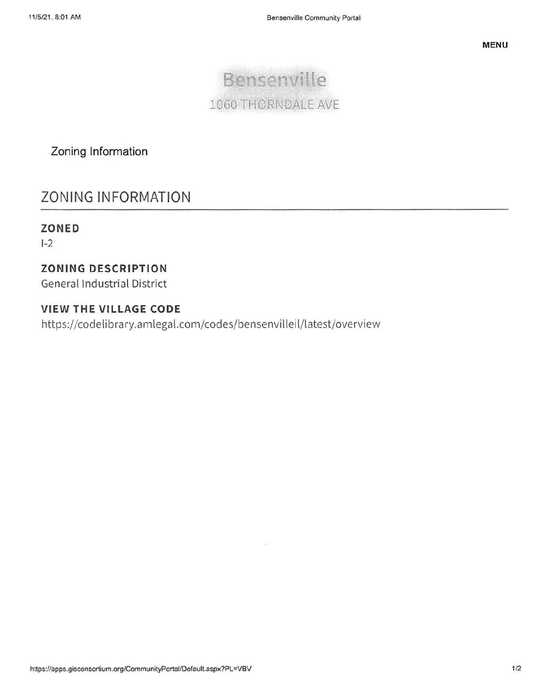

Zoning Information

# **ZONING INFORMATION**

# ZONED

 $I-2$ 

## **ZONING DESCRIPTION**

**General Industrial District** 

## **VIEW THE VILLAGE CODE**

https://codelibrary.amlegal.com/codes/bensenvilleil/latest/overview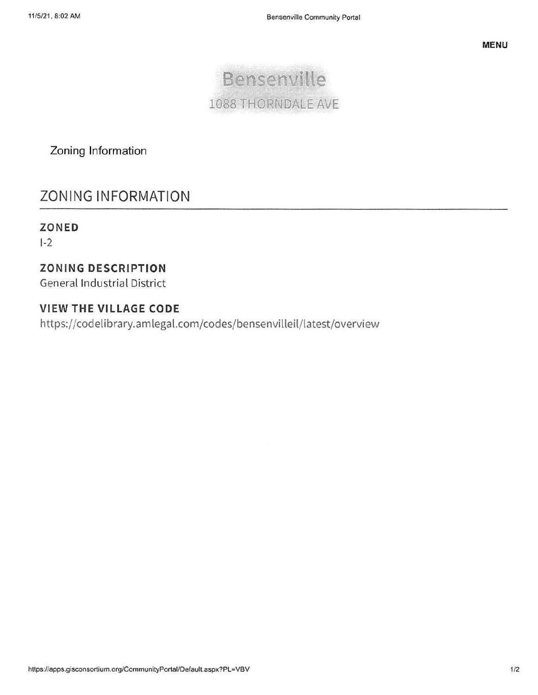

Zoning Information

# **ZONING INFORMATION**

## ZONED

 $1-2$ 

# **ZONING DESCRIPTION**

**General Industrial District** 

## **VIEW THE VILLAGE CODE**

https://codelibrary.amlegal.com/codes/bensenvilleil/latest/overview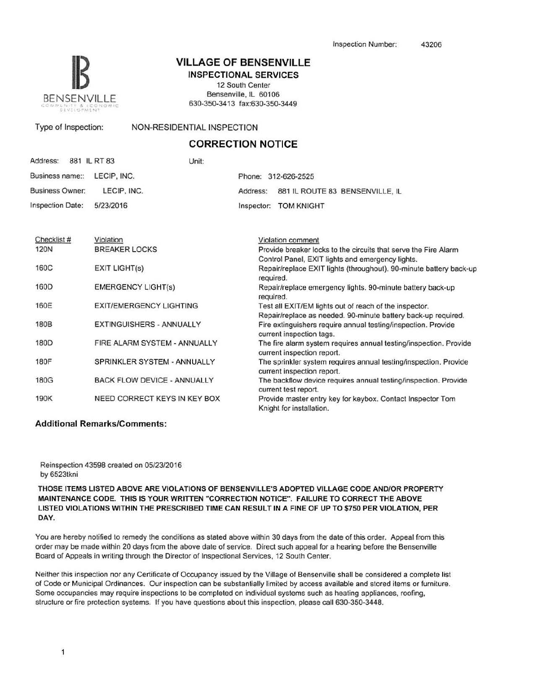

## **VILLAGE OF BENSENVILLE**

INSPECTIONAL SERVICES 12 South Center Bensenville, IL 60106 630-350-3413 fax:630-350-3449

#### Type of Inspection: NON-RESIDENTIAL INSPECTION

#### **CORRECTION NOTICE**

| Address: 881 IL RT 83       | Unit: |                                          |
|-----------------------------|-------|------------------------------------------|
| Business name:: LECIP, INC. |       | Phone: 312-626-2525                      |
| Business Owner: LECIP, INC. |       | Address: 881 IL ROUTE 83 BENSENVILLE, IL |
| Inspection Date: 5/23/2016  |       | Inspector: TOM KNIGHT                    |

| Checklist # | Violation                          | Violation comment                                                                               |
|-------------|------------------------------------|-------------------------------------------------------------------------------------------------|
| 120N        | <b>BREAKER LOCKS</b>               | Provide breaker locks to the circuits that serve the Fire Alarm                                 |
|             |                                    | Control Panel, EXIT lights and emergency lights.                                                |
| 160C        | <b>EXIT LIGHT(s)</b>               | Repair/replace EXIT lights (throughout). 90-minute battery back-up<br>required.                 |
| 160D        | <b>EMERGENCY LIGHT(s)</b>          | Repair/replace emergency lights. 90-minute battery back-up<br>required.                         |
| 160E        | <b>EXIT/EMERGENCY LIGHTING</b>     | Test all EXIT/EM lights out of reach of the inspector.                                          |
|             |                                    | Repair/replace as needed. 90-minute battery back-up required.                                   |
| 180B        | <b>EXTINGUISHERS - ANNUALLY</b>    | Fire extinguishers require annual testing/inspection. Provide<br>current inspection tags.       |
| 180D        | FIRE ALARM SYSTEM - ANNUALLY       | The fire alarm system requires annual testing/inspection. Provide<br>current inspection report. |
| 180F        | SPRINKLER SYSTEM - ANNUALLY        | The sprinkler system requires annual testing/inspection. Provide<br>current inspection report.  |
| 180G        | <b>BACK FLOW DEVICE - ANNUALLY</b> | The backflow device requires annual testing/inspection. Provide<br>current test report.         |
| 190K        | NEED CORRECT KEYS IN KEY BOX       | Provide master entry key for keybox. Contact Inspector Tom<br>Knight for installation.          |

#### Additional Remarks/Comments:

Reinspection 43598 created on 05/23/2016 by 6523tkni

THOSE ITEMS LISTED ABOVE ARE VIOLATIONS OF BENSENVILLE'S ADOPTED VILLAGE CODE AND/OR PROPERTY MAINTENANCE CODE. THIS IS YOUR WRITTEN "CORRECTION NOTICE". FAILURE TO CORRECT THE ABOVE LISTED VIOLATIONS WITHIN THE PRESCRIBED TIME CAN RESULT IN A FINE OF UP TO \$750 PER VIOLATION, PER DAY.

You are hereby notified to remedy the conditions as stated above within 30 days from the date of this order. Appeal from this order may be made within 20 days from the above date of service. Direct such appeal for a hearing before the Bensenville Board of Appeals in writing through the Director of lnspectional Services, 12 South Center.

Neither this inspection nor any Certificate of Occupancy issued by the Village of Bensenville shall be considered a complete list of Code or Municipal Ordinances. Our inspection can be substantially limited by access available and stored Items or furniture. Some occupancies may require inspections to be completed on individual systems such as heating appliances, roofing, structure or fire protection systems. If you have questions about this inspection, please call 630-350-3448.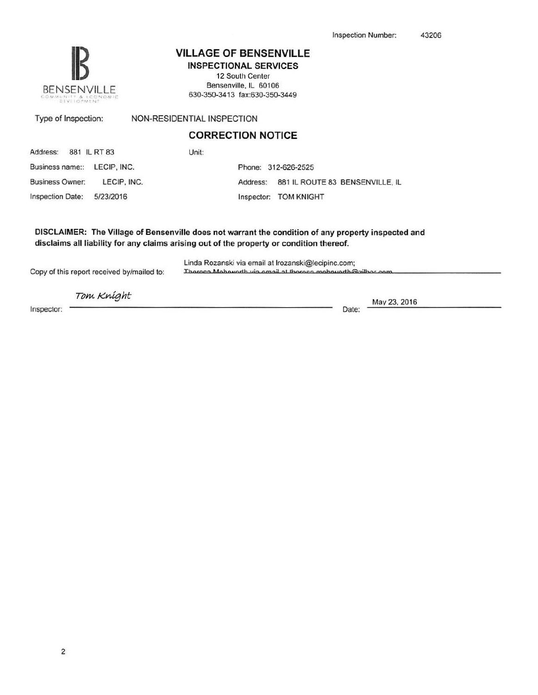

### VILLAGE OF BENSENVILLE

INSPECTIONAL SERVICES 12 South Center

Bensenville, IL 60106 630-350-341 3 fax:630-350-3449

| Type of Inspection:                   | NON-RESIDENTIAL INSPECTION                  |
|---------------------------------------|---------------------------------------------|
|                                       | <b>CORRECTION NOTICE</b>                    |
| Address: 881 IL RT 83                 | Unit:                                       |
| Business name:: LECIP, INC.           | Phone: 312-626-2525                         |
| <b>Business Owner:</b><br>LECIP. INC. | 881 IL ROUTE 83 BENSENVILLE, IL<br>Address: |

Inspection Date: 5/23/2016 Inspector: TOM KNIGHT

DISCLAIMER: The Village of Bensenville does not warrant the condition of any property inspected and disclaims all liability for any claims arising out of the property or condition thereof.

Linda Rozanski via email at Irozanski@lecipinc.com;<br>Thereca Mehoverth via email at thereca mehoverth@zill

Tom Knight

Copy of this report received by/mailed to:

Inspector: Date:

May 23. 2016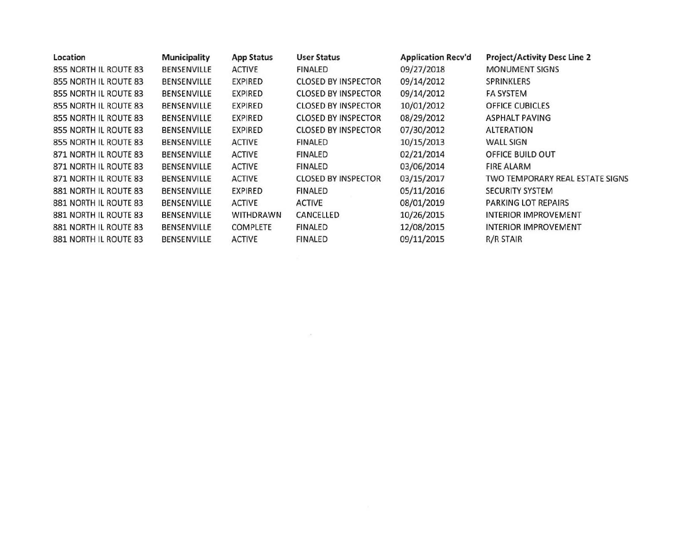| Location              | <b>Municipality</b> | <b>App Status</b> | <b>User Status</b>         | <b>Application Recv'd</b> | <b>Project/Activity Desc Line 2</b> |
|-----------------------|---------------------|-------------------|----------------------------|---------------------------|-------------------------------------|
| 855 NORTH IL ROUTE 83 | BENSENVILLE         | <b>ACTIVE</b>     | <b>FINALED</b>             | 09/27/2018                | <b>MONUMENT SIGNS</b>               |
| 855 NORTH IL ROUTE 83 | <b>BENSENVILLE</b>  | EXPIRED           | <b>CLOSED BY INSPECTOR</b> | 09/14/2012                | <b>SPRINKLERS</b>                   |
| 855 NORTH IL ROUTE 83 | BENSENVILLE         | EXPIRED           | <b>CLOSED BY INSPECTOR</b> | 09/14/2012                | <b>FA SYSTEM</b>                    |
| 855 NORTH IL ROUTE 83 | BENSENVILLE         | EXPIRED           | <b>CLOSED BY INSPECTOR</b> | 10/01/2012                | <b>OFFICE CUBICLES</b>              |
| 855 NORTH IL ROUTE 83 | BENSENVILLE         | EXPIRED           | <b>CLOSED BY INSPECTOR</b> | 08/29/2012                | ASPHALT PAVING                      |
| 855 NORTH IL ROUTE 83 | <b>BENSENVILLE</b>  | EXPIRED           | <b>CLOSED BY INSPECTOR</b> | 07/30/2012                | <b>ALTERATION</b>                   |
| 855 NORTH IL ROUTE 83 | BENSENVILLE         | <b>ACTIVE</b>     | FINALED                    | 10/15/2013                | <b>WALL SIGN</b>                    |
| 871 NORTH IL ROUTE 83 | BENSENVILLE         | <b>ACTIVE</b>     | <b>FINALED</b>             | 02/21/2014                | OFFICE BUILD OUT                    |
| 871 NORTH IL ROUTE 83 | <b>BENSENVILLE</b>  | <b>ACTIVE</b>     | <b>FINALED</b>             | 03/06/2014                | <b>FIRE ALARM</b>                   |
| 871 NORTH IL ROUTE 83 | <b>BENSENVILLE</b>  | <b>ACTIVE</b>     | <b>CLOSED BY INSPECTOR</b> | 03/15/2017                | TWO TEMPORARY REAL ESTATE SIGNS     |
| 881 NORTH IL ROUTE 83 | BENSENVILLE         | <b>EXPIRED</b>    | <b>FINALED</b>             | 05/11/2016                | <b>SECURITY SYSTEM</b>              |
| 881 NORTH IL ROUTE 83 | <b>BENSENVILLE</b>  | <b>ACTIVE</b>     | <b>ACTIVE</b>              | 08/01/2019                | PARKING LOT REPAIRS                 |
| 881 NORTH IL ROUTE 83 | BENSENVILLE         | <b>WITHDRAWN</b>  | CANCELLED                  | 10/26/2015                | <b>INTERIOR IMPROVEMENT</b>         |
| 881 NORTH IL ROUTE 83 | BENSENVILLE         | <b>COMPLETE</b>   | <b>FINALED</b>             | 12/08/2015                | INTERIOR IMPROVEMENT                |
| 881 NORTH IL ROUTE 83 | <b>BENSENVILLE</b>  | <b>ACTIVE</b>     | <b>FINALED</b>             | 09/11/2015                | R/R STAIR                           |